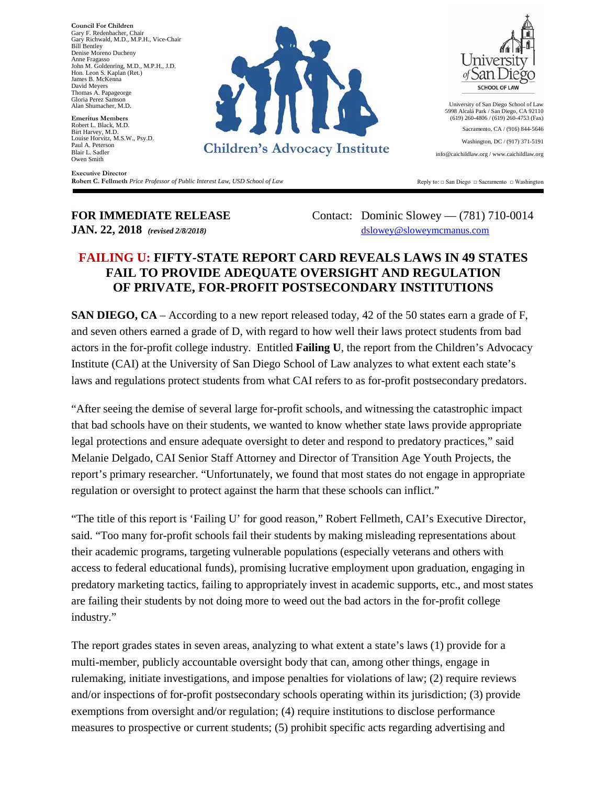**Executive Director Council For Children** Gary F. Redenbacher, Chair Gary Richwald, M.D., M.P.H., Vice-Chair Bill Bentley Denise Moreno Ducheny Anne Fragasso John M. Goldenring, M.D., M.P.H., J.D. Hon. Leon S. Kaplan (Ret.) James B. McKenna David Meyers Thomas A. Papageorge Gloria Perez Samson Alan Shumacher, M.D.

**Emeritus Members** Robert L. Black, M.D. Birt Harvey, M.D. Louise Horvitz, M.S.W., Psy.D. Paul A. Peterson Blair L. Sadler Owen Smith

**Executive Director Robert C. Fellmeth** *Price Professor of Public Interest Law, USD School of Law*



University of San Diego School of Law 5998 Alcalá Park / San Diego, CA 92110 (619) 260-4806 / (619) 260-4753 (Fax) Sacramento, CA / (916) 844-5646

Washington, DC / (917) 371-5191

info@caichildlaw.org / www.caichildlaw.org

Reply to: □ San Diego □ Sacramento □ Washington

**FOR IMMEDIATE RELEASE** Contact: Dominic Slowey - (781) 710-0014 **JAN. 22, 2018** *(revised 2/8/2018)* [dslowey@sloweymcmanus.com](mailto:dslowey@sloweymcmanus.com)

## **FAILING U: FIFTY-STATE REPORT CARD REVEALS LAWS IN 49 STATES FAIL TO PROVIDE ADEQUATE OVERSIGHT AND REGULATION OF PRIVATE, FOR-PROFIT POSTSECONDARY INSTITUTIONS**

**SAN DIEGO, CA** – According to a new report released today, 42 of the 50 states earn a grade of F, and seven others earned a grade of D, with regard to how well their laws protect students from bad actors in the for-profit college industry. Entitled **Failing U**, the report from the Children's Advocacy Institute (CAI) at the University of San Diego School of Law analyzes to what extent each state's laws and regulations protect students from what CAI refers to as for-profit postsecondary predators.

"After seeing the demise of several large for-profit schools, and witnessing the catastrophic impact that bad schools have on their students, we wanted to know whether state laws provide appropriate legal protections and ensure adequate oversight to deter and respond to predatory practices," said Melanie Delgado, CAI Senior Staff Attorney and Director of Transition Age Youth Projects, the report's primary researcher. "Unfortunately, we found that most states do not engage in appropriate regulation or oversight to protect against the harm that these schools can inflict."

"The title of this report is 'Failing U' for good reason," Robert Fellmeth, CAI's Executive Director, said. "Too many for-profit schools fail their students by making misleading representations about their academic programs, targeting vulnerable populations (especially veterans and others with access to federal educational funds), promising lucrative employment upon graduation, engaging in predatory marketing tactics, failing to appropriately invest in academic supports, etc., and most states are failing their students by not doing more to weed out the bad actors in the for-profit college industry."

The report grades states in seven areas, analyzing to what extent a state's laws (1) provide for a multi-member, publicly accountable oversight body that can, among other things, engage in rulemaking, initiate investigations, and impose penalties for violations of law; (2) require reviews and/or inspections of for-profit postsecondary schools operating within its jurisdiction; (3) provide exemptions from oversight and/or regulation; (4) require institutions to disclose performance measures to prospective or current students; (5) prohibit specific acts regarding advertising and